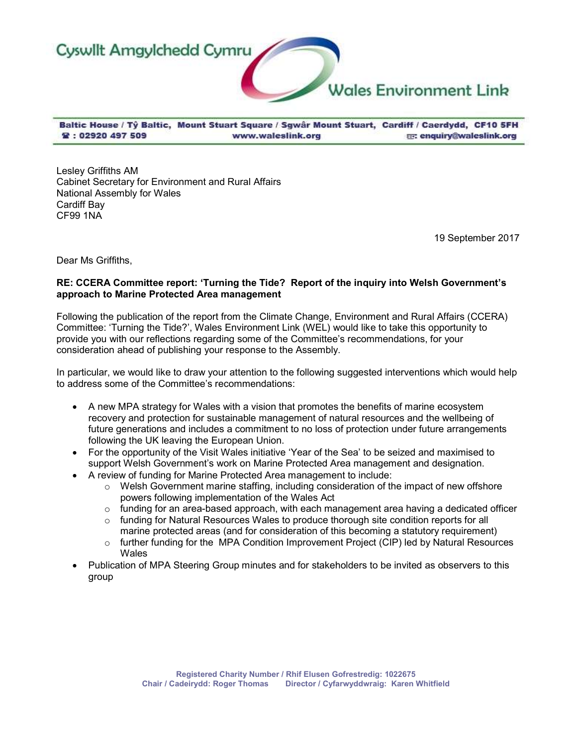

Baltic House / Tŷ Baltic, Mount Stuart Square / Sgwâr Mount Stuart, Cardiff / Caerdydd, CF10 5FH **堂: 02920 497 509** E enquiry@waleslink.org www.waleslink.org

Lesley Griffiths AM Cabinet Secretary for Environment and Rural Affairs National Assembly for Wales Cardiff Bay CF99 1NA

19 September 2017

Dear Ms Griffiths,

# RE: CCERA Committee report: 'Turning the Tide? Report of the inquiry into Welsh Government's approach to Marine Protected Area management

Following the publication of the report from the Climate Change, Environment and Rural Affairs (CCERA) Committee: 'Turning the Tide?', Wales Environment Link (WEL) would like to take this opportunity to provide you with our reflections regarding some of the Committee's recommendations, for your consideration ahead of publishing your response to the Assembly.

In particular, we would like to draw your attention to the following suggested interventions which would help to address some of the Committee's recommendations:

- A new MPA strategy for Wales with a vision that promotes the benefits of marine ecosystem recovery and protection for sustainable management of natural resources and the wellbeing of future generations and includes a commitment to no loss of protection under future arrangements following the UK leaving the European Union.
- For the opportunity of the Visit Wales initiative 'Year of the Sea' to be seized and maximised to support Welsh Government's work on Marine Protected Area management and designation.
- A review of funding for Marine Protected Area management to include:
	- o Welsh Government marine staffing, including consideration of the impact of new offshore powers following implementation of the Wales Act
	- $\circ$  funding for an area-based approach, with each management area having a dedicated officer
	- $\circ$  funding for Natural Resources Wales to produce thorough site condition reports for all
	- marine protected areas (and for consideration of this becoming a statutory requirement)  $\circ$  further funding for the MPA Condition Improvement Project (CIP) led by Natural Resources
	- **Wales**
- Publication of MPA Steering Group minutes and for stakeholders to be invited as observers to this group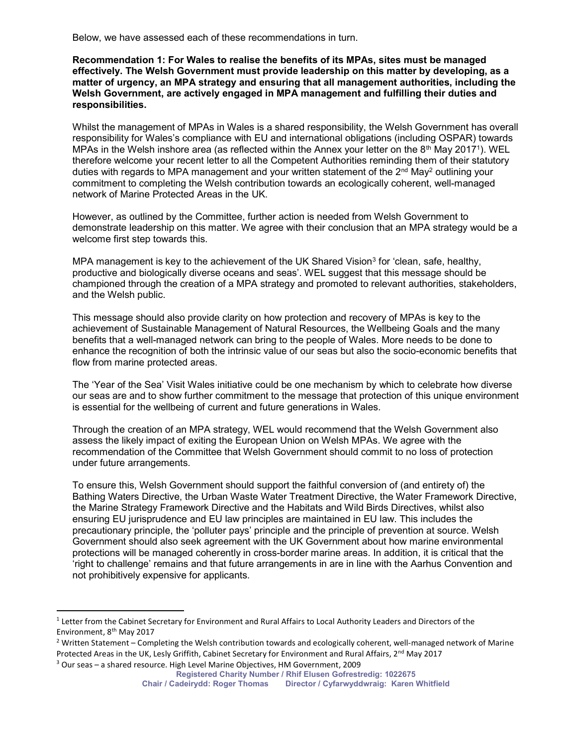Below, we have assessed each of these recommendations in turn.

Recommendation 1: For Wales to realise the benefits of its MPAs, sites must be managed effectively. The Welsh Government must provide leadership on this matter by developing, as a matter of urgency, an MPA strategy and ensuring that all management authorities, including the Welsh Government, are actively engaged in MPA management and fulfilling their duties and responsibilities.

Whilst the management of MPAs in Wales is a shared responsibility, the Welsh Government has overall responsibility for Wales's compliance with EU and international obligations (including OSPAR) towards MPAs in the Welsh inshore area (as reflected within the Annex your letter on the 8<sup>th</sup> May 2017<sup>1</sup>). WEL therefore welcome your recent letter to all the Competent Authorities reminding them of their statutory duties with regards to MPA management and your written statement of the 2nd May<sup>2</sup> outlining your commitment to completing the Welsh contribution towards an ecologically coherent, well-managed network of Marine Protected Areas in the UK.

However, as outlined by the Committee, further action is needed from Welsh Government to demonstrate leadership on this matter. We agree with their conclusion that an MPA strategy would be a welcome first step towards this.

MPA management is key to the achievement of the UK Shared Vision<sup>3</sup> for 'clean, safe, healthy, productive and biologically diverse oceans and seas'. WEL suggest that this message should be championed through the creation of a MPA strategy and promoted to relevant authorities, stakeholders, and the Welsh public.

This message should also provide clarity on how protection and recovery of MPAs is key to the achievement of Sustainable Management of Natural Resources, the Wellbeing Goals and the many benefits that a well-managed network can bring to the people of Wales. More needs to be done to enhance the recognition of both the intrinsic value of our seas but also the socio-economic benefits that flow from marine protected areas.

The 'Year of the Sea' Visit Wales initiative could be one mechanism by which to celebrate how diverse our seas are and to show further commitment to the message that protection of this unique environment is essential for the wellbeing of current and future generations in Wales.

Through the creation of an MPA strategy, WEL would recommend that the Welsh Government also assess the likely impact of exiting the European Union on Welsh MPAs. We agree with the recommendation of the Committee that Welsh Government should commit to no loss of protection under future arrangements.

To ensure this, Welsh Government should support the faithful conversion of (and entirety of) the Bathing Waters Directive, the Urban Waste Water Treatment Directive, the Water Framework Directive, the Marine Strategy Framework Directive and the Habitats and Wild Birds Directives, whilst also ensuring EU jurisprudence and EU law principles are maintained in EU law. This includes the precautionary principle, the 'polluter pays' principle and the principle of prevention at source. Welsh Government should also seek agreement with the UK Government about how marine environmental protections will be managed coherently in cross-border marine areas. In addition, it is critical that the 'right to challenge' remains and that future arrangements in are in line with the Aarhus Convention and not prohibitively expensive for applicants.

ł

<sup>&</sup>lt;sup>1</sup> Letter from the Cabinet Secretary for Environment and Rural Affairs to Local Authority Leaders and Directors of the Environment, 8<sup>th</sup> May 2017

<sup>&</sup>lt;sup>2</sup> Written Statement – Completing the Welsh contribution towards and ecologically coherent, well-managed network of Marine Protected Areas in the UK, Lesly Griffith, Cabinet Secretary for Environment and Rural Affairs, 2<sup>nd</sup> May 2017

<sup>&</sup>lt;sup>3</sup> Our seas – a shared resource. High Level Marine Objectives, HM Government, 2009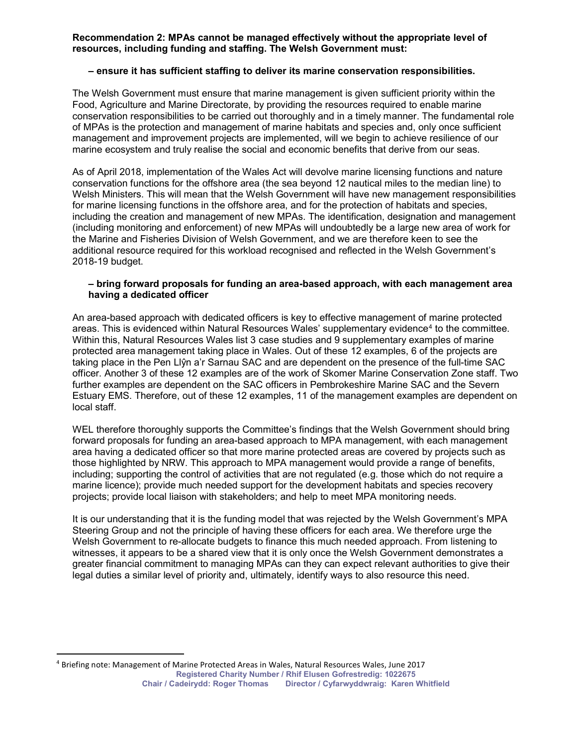# Recommendation 2: MPAs cannot be managed effectively without the appropriate level of resources, including funding and staffing. The Welsh Government must:

## – ensure it has sufficient staffing to deliver its marine conservation responsibilities.

The Welsh Government must ensure that marine management is given sufficient priority within the Food, Agriculture and Marine Directorate, by providing the resources required to enable marine conservation responsibilities to be carried out thoroughly and in a timely manner. The fundamental role of MPAs is the protection and management of marine habitats and species and, only once sufficient management and improvement projects are implemented, will we begin to achieve resilience of our marine ecosystem and truly realise the social and economic benefits that derive from our seas.

As of April 2018, implementation of the Wales Act will devolve marine licensing functions and nature conservation functions for the offshore area (the sea beyond 12 nautical miles to the median line) to Welsh Ministers. This will mean that the Welsh Government will have new management responsibilities for marine licensing functions in the offshore area, and for the protection of habitats and species, including the creation and management of new MPAs. The identification, designation and management (including monitoring and enforcement) of new MPAs will undoubtedly be a large new area of work for the Marine and Fisheries Division of Welsh Government, and we are therefore keen to see the additional resource required for this workload recognised and reflected in the Welsh Government's 2018-19 budget.

#### – bring forward proposals for funding an area-based approach, with each management area having a dedicated officer

An area-based approach with dedicated officers is key to effective management of marine protected areas. This is evidenced within Natural Resources Wales' supplementary evidence<sup>4</sup> to the committee. Within this, Natural Resources Wales list 3 case studies and 9 supplementary examples of marine protected area management taking place in Wales. Out of these 12 examples, 6 of the projects are taking place in the Pen Llŷn a'r Sarnau SAC and are dependent on the presence of the full-time SAC officer. Another 3 of these 12 examples are of the work of Skomer Marine Conservation Zone staff. Two further examples are dependent on the SAC officers in Pembrokeshire Marine SAC and the Severn Estuary EMS. Therefore, out of these 12 examples, 11 of the management examples are dependent on local staff.

WEL therefore thoroughly supports the Committee's findings that the Welsh Government should bring forward proposals for funding an area-based approach to MPA management, with each management area having a dedicated officer so that more marine protected areas are covered by projects such as those highlighted by NRW. This approach to MPA management would provide a range of benefits, including; supporting the control of activities that are not regulated (e.g. those which do not require a marine licence); provide much needed support for the development habitats and species recovery projects; provide local liaison with stakeholders; and help to meet MPA monitoring needs.

It is our understanding that it is the funding model that was rejected by the Welsh Government's MPA Steering Group and not the principle of having these officers for each area. We therefore urge the Welsh Government to re-allocate budgets to finance this much needed approach. From listening to witnesses, it appears to be a shared view that it is only once the Welsh Government demonstrates a greater financial commitment to managing MPAs can they can expect relevant authorities to give their legal duties a similar level of priority and, ultimately, identify ways to also resource this need.

 $\overline{a}$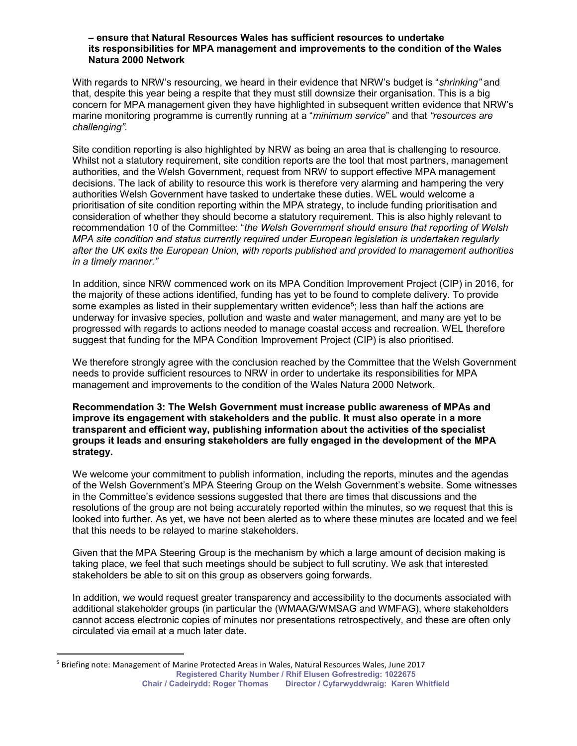#### – ensure that Natural Resources Wales has sufficient resources to undertake its responsibilities for MPA management and improvements to the condition of the Wales Natura 2000 Network

With regards to NRW's resourcing, we heard in their evidence that NRW's budget is "*shrinking*" and that, despite this year being a respite that they must still downsize their organisation. This is a big concern for MPA management given they have highlighted in subsequent written evidence that NRW's marine monitoring programme is currently running at a "minimum service" and that "resources are challenging".

Site condition reporting is also highlighted by NRW as being an area that is challenging to resource. Whilst not a statutory requirement, site condition reports are the tool that most partners, management authorities, and the Welsh Government, request from NRW to support effective MPA management decisions. The lack of ability to resource this work is therefore very alarming and hampering the very authorities Welsh Government have tasked to undertake these duties. WEL would welcome a prioritisation of site condition reporting within the MPA strategy, to include funding prioritisation and consideration of whether they should become a statutory requirement. This is also highly relevant to recommendation 10 of the Committee: "the Welsh Government should ensure that reporting of Welsh MPA site condition and status currently required under European legislation is undertaken regularly after the UK exits the European Union, with reports published and provided to management authorities in a timely manner."

In addition, since NRW commenced work on its MPA Condition Improvement Project (CIP) in 2016, for the majority of these actions identified, funding has yet to be found to complete delivery. To provide some examples as listed in their supplementary written evidence<sup>5</sup>; less than half the actions are underway for invasive species, pollution and waste and water management, and many are yet to be progressed with regards to actions needed to manage coastal access and recreation. WEL therefore suggest that funding for the MPA Condition Improvement Project (CIP) is also prioritised.

We therefore strongly agree with the conclusion reached by the Committee that the Welsh Government needs to provide sufficient resources to NRW in order to undertake its responsibilities for MPA management and improvements to the condition of the Wales Natura 2000 Network.

Recommendation 3: The Welsh Government must increase public awareness of MPAs and improve its engagement with stakeholders and the public. It must also operate in a more transparent and efficient way, publishing information about the activities of the specialist groups it leads and ensuring stakeholders are fully engaged in the development of the MPA strategy.

We welcome your commitment to publish information, including the reports, minutes and the agendas of the Welsh Government's MPA Steering Group on the Welsh Government's website. Some witnesses in the Committee's evidence sessions suggested that there are times that discussions and the resolutions of the group are not being accurately reported within the minutes, so we request that this is looked into further. As yet, we have not been alerted as to where these minutes are located and we feel that this needs to be relayed to marine stakeholders.

Given that the MPA Steering Group is the mechanism by which a large amount of decision making is taking place, we feel that such meetings should be subject to full scrutiny. We ask that interested stakeholders be able to sit on this group as observers going forwards.

In addition, we would request greater transparency and accessibility to the documents associated with additional stakeholder groups (in particular the (WMAAG/WMSAG and WMFAG), where stakeholders cannot access electronic copies of minutes nor presentations retrospectively, and these are often only circulated via email at a much later date.

 $\overline{a}$ 

Registered Charity Number / Rhif Elusen Gofrestredig: 1022675 Chair / Cadeirydd: Roger Thomas Director / Cyfarwyddwraig: Karen Whitfield <sup>5</sup> Briefing note: Management of Marine Protected Areas in Wales, Natural Resources Wales, June 2017